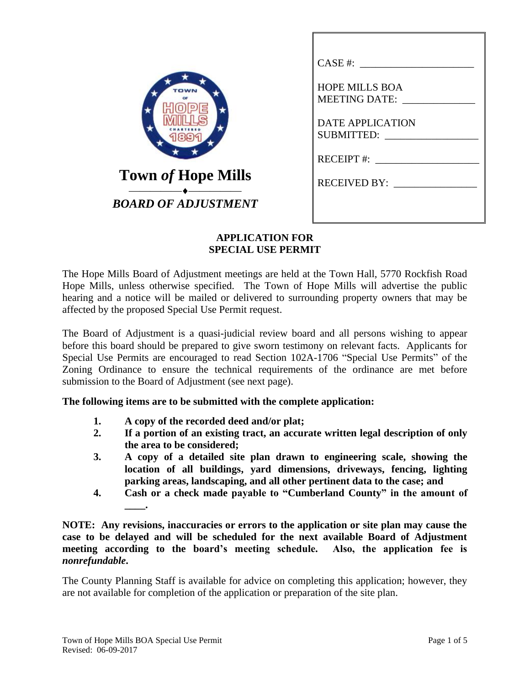|                            | CASE #:                                                                                       |
|----------------------------|-----------------------------------------------------------------------------------------------|
| TOWN                       | <b>HOPE MILLS BOA</b><br><b>MEETING DATE:</b><br><b>DATE APPLICATION</b><br><b>SUBMITTED:</b> |
|                            | RECEIPT #: $\frac{1}{2}$                                                                      |
| <b>Town of Hope Mills</b>  | <b>RECEIVED BY:</b>                                                                           |
| <b>BOARD OF ADJUSTMENT</b> |                                                                                               |

## **APPLICATION FOR SPECIAL USE PERMIT**

The Hope Mills Board of Adjustment meetings are held at the Town Hall, 5770 Rockfish Road Hope Mills, unless otherwise specified. The Town of Hope Mills will advertise the public hearing and a notice will be mailed or delivered to surrounding property owners that may be affected by the proposed Special Use Permit request.

The Board of Adjustment is a quasi-judicial review board and all persons wishing to appear before this board should be prepared to give sworn testimony on relevant facts. Applicants for Special Use Permits are encouraged to read Section 102A-1706 "Special Use Permits" of the Zoning Ordinance to ensure the technical requirements of the ordinance are met before submission to the Board of Adjustment (see next page).

**The following items are to be submitted with the complete application:**

- **1. A copy of the recorded deed and/or plat;**
- **2. If a portion of an existing tract, an accurate written legal description of only the area to be considered;**
- **3. A copy of a detailed site plan drawn to engineering scale, showing the location of all buildings, yard dimensions, driveways, fencing, lighting parking areas, landscaping, and all other pertinent data to the case; and**
- **4. Cash or a check made payable to "Cumberland County" in the amount of \_\_\_\_.**

**NOTE: Any revisions, inaccuracies or errors to the application or site plan may cause the case to be delayed and will be scheduled for the next available Board of Adjustment meeting according to the board's meeting schedule. Also, the application fee is**  *nonrefundable***.**

The County Planning Staff is available for advice on completing this application; however, they are not available for completion of the application or preparation of the site plan.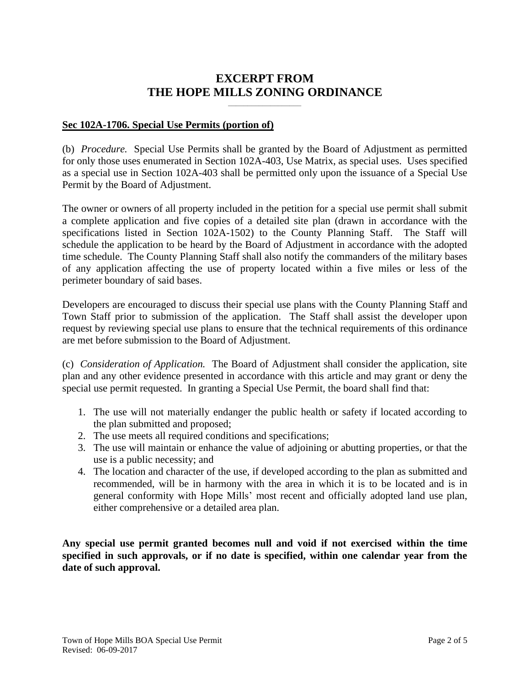# **EXCERPT FROM THE HOPE MILLS ZONING ORDINANCE**

**\_\_\_\_\_\_\_\_\_\_\_\_\_\_\_\_\_\_\_**

#### **Sec 102A-1706. Special Use Permits (portion of)**

(b) *Procedure.* Special Use Permits shall be granted by the Board of Adjustment as permitted for only those uses enumerated in Section 102A-403, Use Matrix, as special uses. Uses specified as a special use in Section 102A-403 shall be permitted only upon the issuance of a Special Use Permit by the Board of Adjustment.

The owner or owners of all property included in the petition for a special use permit shall submit a complete application and five copies of a detailed site plan (drawn in accordance with the specifications listed in Section 102A-1502) to the County Planning Staff. The Staff will schedule the application to be heard by the Board of Adjustment in accordance with the adopted time schedule. The County Planning Staff shall also notify the commanders of the military bases of any application affecting the use of property located within a five miles or less of the perimeter boundary of said bases.

Developers are encouraged to discuss their special use plans with the County Planning Staff and Town Staff prior to submission of the application. The Staff shall assist the developer upon request by reviewing special use plans to ensure that the technical requirements of this ordinance are met before submission to the Board of Adjustment.

(c) *Consideration of Application.* The Board of Adjustment shall consider the application, site plan and any other evidence presented in accordance with this article and may grant or deny the special use permit requested. In granting a Special Use Permit, the board shall find that:

- 1. The use will not materially endanger the public health or safety if located according to the plan submitted and proposed;
- 2. The use meets all required conditions and specifications;
- 3. The use will maintain or enhance the value of adjoining or abutting properties, or that the use is a public necessity; and
- 4. The location and character of the use, if developed according to the plan as submitted and recommended, will be in harmony with the area in which it is to be located and is in general conformity with Hope Mills' most recent and officially adopted land use plan, either comprehensive or a detailed area plan.

**Any special use permit granted becomes null and void if not exercised within the time specified in such approvals, or if no date is specified, within one calendar year from the date of such approval.**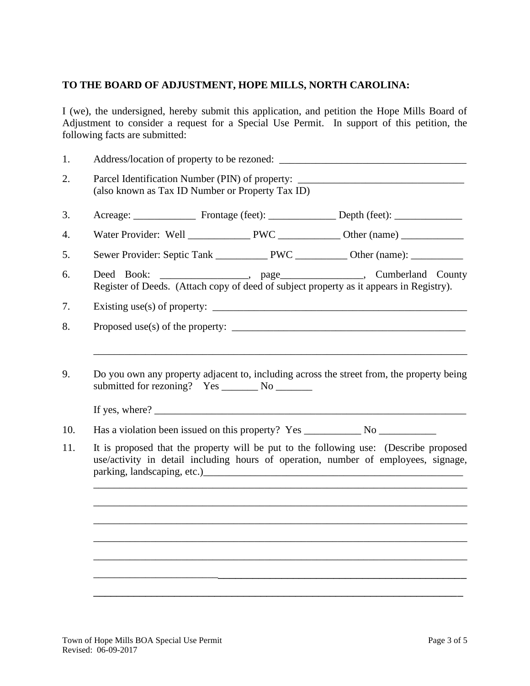### **TO THE BOARD OF ADJUSTMENT, HOPE MILLS, NORTH CAROLINA:**

I (we), the undersigned, hereby submit this application, and petition the Hope Mills Board of Adjustment to consider a request for a Special Use Permit. In support of this petition, the following facts are submitted:

| 1.        |                                                                                                                                                                                    |  |  |                                                                                                                                                                                                                                                                              |  |  |
|-----------|------------------------------------------------------------------------------------------------------------------------------------------------------------------------------------|--|--|------------------------------------------------------------------------------------------------------------------------------------------------------------------------------------------------------------------------------------------------------------------------------|--|--|
| 2.        | Parcel Identification Number (PIN) of property: ________________________________<br>(also known as Tax ID Number or Property Tax ID)                                               |  |  |                                                                                                                                                                                                                                                                              |  |  |
| 3.        |                                                                                                                                                                                    |  |  |                                                                                                                                                                                                                                                                              |  |  |
| 4.        |                                                                                                                                                                                    |  |  |                                                                                                                                                                                                                                                                              |  |  |
| 5.        |                                                                                                                                                                                    |  |  |                                                                                                                                                                                                                                                                              |  |  |
| 6.        | Deed Book: _________________, page_______________, Cumberland County<br>Register of Deeds. (Attach copy of deed of subject property as it appears in Registry).                    |  |  |                                                                                                                                                                                                                                                                              |  |  |
| 7.        | Existing use(s) of property: $\sqrt{\frac{2}{1-\frac{1}{2}} \cdot \frac{1}{2}}$                                                                                                    |  |  |                                                                                                                                                                                                                                                                              |  |  |
| 8.        |                                                                                                                                                                                    |  |  | Proposed use(s) of the property: $\sqrt{2}$ and $\sqrt{2}$ and $\sqrt{2}$ and $\sqrt{2}$ and $\sqrt{2}$ and $\sqrt{2}$ and $\sqrt{2}$ and $\sqrt{2}$ and $\sqrt{2}$ and $\sqrt{2}$ and $\sqrt{2}$ and $\sqrt{2}$ and $\sqrt{2}$ and $\sqrt{2}$ and $\sqrt{2}$ and $\sqrt{2}$ |  |  |
| 10.       |                                                                                                                                                                                    |  |  |                                                                                                                                                                                                                                                                              |  |  |
| 9.<br>11. | Do you own any property adjacent to, including across the street from, the property being<br>It is proposed that the property will be put to the following use: (Describe proposed |  |  |                                                                                                                                                                                                                                                                              |  |  |
|           | use/activity in detail including hours of operation, number of employees, signage,                                                                                                 |  |  |                                                                                                                                                                                                                                                                              |  |  |
|           |                                                                                                                                                                                    |  |  |                                                                                                                                                                                                                                                                              |  |  |
|           |                                                                                                                                                                                    |  |  |                                                                                                                                                                                                                                                                              |  |  |
|           |                                                                                                                                                                                    |  |  |                                                                                                                                                                                                                                                                              |  |  |
|           |                                                                                                                                                                                    |  |  |                                                                                                                                                                                                                                                                              |  |  |
|           |                                                                                                                                                                                    |  |  |                                                                                                                                                                                                                                                                              |  |  |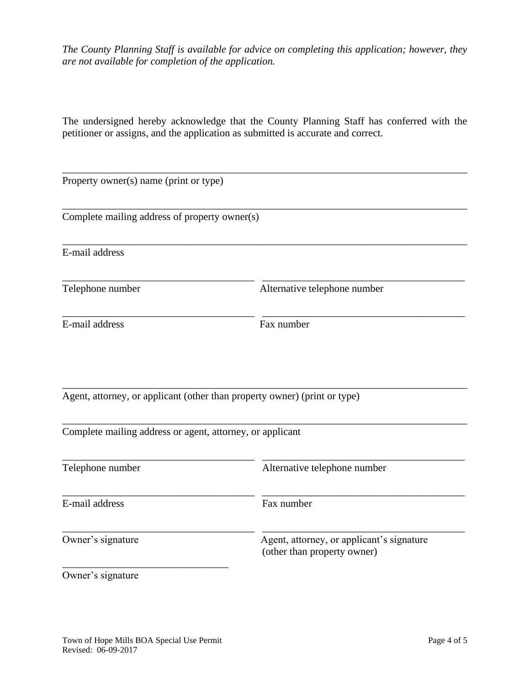*The County Planning Staff is available for advice on completing this application; however, they are not available for completion of the application.*

The undersigned hereby acknowledge that the County Planning Staff has conferred with the petitioner or assigns, and the application as submitted is accurate and correct.

| Property owner(s) name (print or type)                    |                                                                           |  |
|-----------------------------------------------------------|---------------------------------------------------------------------------|--|
| Complete mailing address of property owner(s)             |                                                                           |  |
| E-mail address                                            |                                                                           |  |
| Telephone number                                          | Alternative telephone number                                              |  |
| E-mail address                                            | Fax number                                                                |  |
| Complete mailing address or agent, attorney, or applicant | Agent, attorney, or applicant (other than property owner) (print or type) |  |
| Telephone number                                          | Alternative telephone number                                              |  |
| E-mail address                                            | Fax number                                                                |  |
| Owner's signature                                         | Agent, attorney, or applicant's signature<br>(other than property owner)  |  |
| Owner's signature                                         |                                                                           |  |